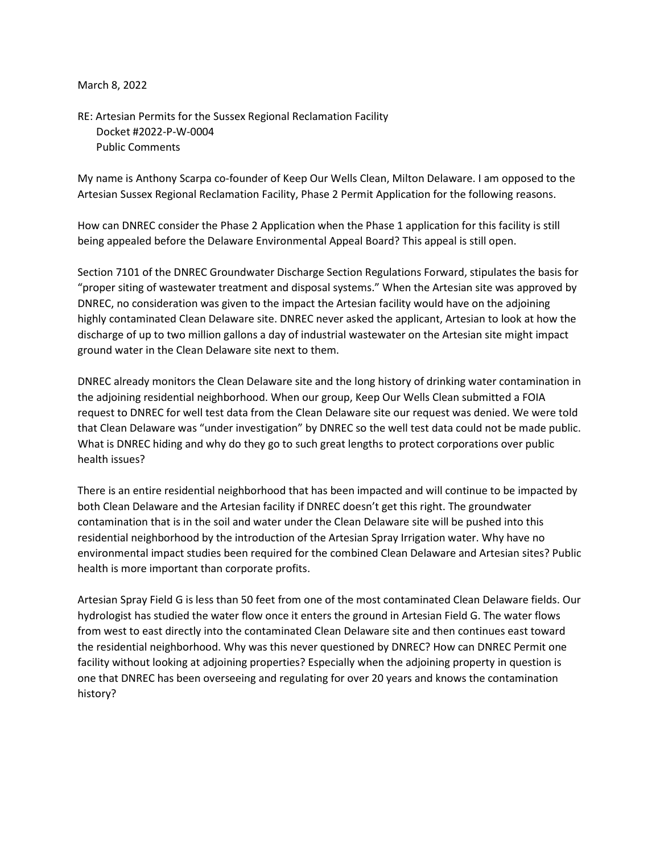March 8, 2022

RE: Artesian Permits for the Sussex Regional Reclamation Facility Docket #2022-P-W-0004 Public Comments

My name is Anthony Scarpa co-founder of Keep Our Wells Clean, Milton Delaware. I am opposed to the Artesian Sussex Regional Reclamation Facility, Phase 2 Permit Application for the following reasons.

How can DNREC consider the Phase 2 Application when the Phase 1 application for this facility is still being appealed before the Delaware Environmental Appeal Board? This appeal is still open.

Section 7101 of the DNREC Groundwater Discharge Section Regulations Forward, stipulates the basis for "proper siting of wastewater treatment and disposal systems." When the Artesian site was approved by DNREC, no consideration was given to the impact the Artesian facility would have on the adjoining highly contaminated Clean Delaware site. DNREC never asked the applicant, Artesian to look at how the discharge of up to two million gallons a day of industrial wastewater on the Artesian site might impact ground water in the Clean Delaware site next to them.

DNREC already monitors the Clean Delaware site and the long history of drinking water contamination in the adjoining residential neighborhood. When our group, Keep Our Wells Clean submitted a FOIA request to DNREC for well test data from the Clean Delaware site our request was denied. We were told that Clean Delaware was "under investigation" by DNREC so the well test data could not be made public. What is DNREC hiding and why do they go to such great lengths to protect corporations over public health issues?

There is an entire residential neighborhood that has been impacted and will continue to be impacted by both Clean Delaware and the Artesian facility if DNREC doesn't get this right. The groundwater contamination that is in the soil and water under the Clean Delaware site will be pushed into this residential neighborhood by the introduction of the Artesian Spray Irrigation water. Why have no environmental impact studies been required for the combined Clean Delaware and Artesian sites? Public health is more important than corporate profits.

Artesian Spray Field G is less than 50 feet from one of the most contaminated Clean Delaware fields. Our hydrologist has studied the water flow once it enters the ground in Artesian Field G. The water flows from west to east directly into the contaminated Clean Delaware site and then continues east toward the residential neighborhood. Why was this never questioned by DNREC? How can DNREC Permit one facility without looking at adjoining properties? Especially when the adjoining property in question is one that DNREC has been overseeing and regulating for over 20 years and knows the contamination history?